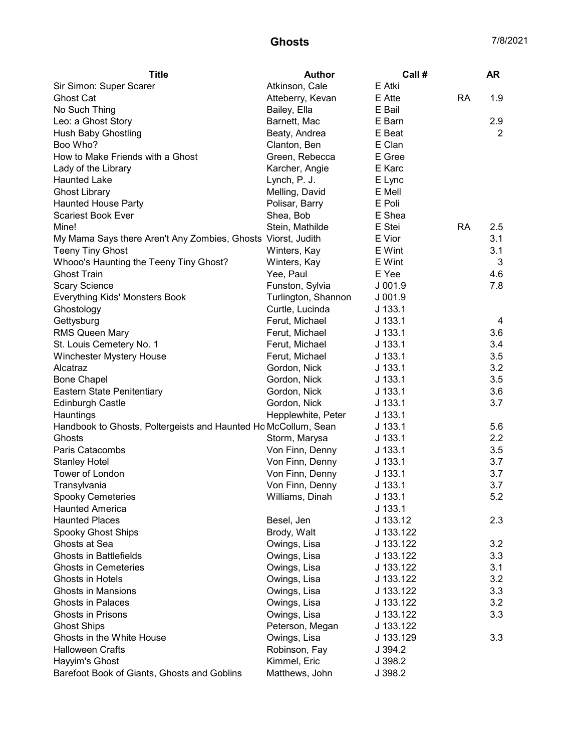## **Ghosts** 7/8/2021

| Atkinson, Cale<br>E Atki<br>Sir Simon: Super Scarer<br>E Atte<br><b>RA</b><br>1.9<br><b>Ghost Cat</b><br>Atteberry, Kevan<br>No Such Thing<br>E Bail<br>Bailey, Ella<br>E Barn<br>2.9<br>Leo: a Ghost Story<br>Barnett, Mac<br>E Beat<br><b>Hush Baby Ghostling</b><br>Beaty, Andrea<br>2<br>Boo Who?<br>E Clan<br>Clanton, Ben<br>How to Make Friends with a Ghost<br>E Gree<br>Green, Rebecca<br>E Karc<br>Lady of the Library<br>Karcher, Angie<br>Lynch, P. J.<br>E Lync<br><b>Haunted Lake</b><br><b>Ghost Library</b><br>Melling, David<br>E Mell<br><b>Haunted House Party</b><br>Polisar, Barry<br>E Poli<br>E Shea<br><b>Scariest Book Ever</b><br>Shea, Bob<br>E Stei<br><b>RA</b><br>2.5<br>Mine!<br>Stein, Mathilde<br>E Vior<br>3.1<br>My Mama Says there Aren't Any Zombies, Ghosts Viorst, Judith<br>E Wint<br>3.1<br><b>Teeny Tiny Ghost</b><br>Winters, Kay<br>Whooo's Haunting the Teeny Tiny Ghost?<br>E Wint<br>3<br>Winters, Kay<br><b>Ghost Train</b><br>E Yee<br>4.6<br>Yee, Paul<br><b>Scary Science</b><br>Funston, Sylvia<br>7.8<br>$J$ 001.9<br>Everything Kids' Monsters Book<br>Turlington, Shannon<br>$J$ 001.9<br>$J$ 133.1<br>Ghostology<br>Curtle, Lucinda<br>Gettysburg<br>Ferut, Michael<br>$J$ 133.1<br>4<br><b>RMS Queen Mary</b><br>3.6<br>Ferut, Michael<br>$J$ 133.1<br>St. Louis Cemetery No. 1<br>$J$ 133.1<br>3.4<br>Ferut, Michael<br>$J$ 133.1<br>3.5<br>Winchester Mystery House<br>Ferut, Michael<br>Alcatraz<br>$J$ 133.1<br>3.2<br>Gordon, Nick<br>3.5<br><b>Bone Chapel</b><br>Gordon, Nick<br>$J$ 133.1<br>Eastern State Penitentiary<br>3.6<br>Gordon, Nick<br>$J$ 133.1<br>3.7<br><b>Edinburgh Castle</b><br>Gordon, Nick<br>$J$ 133.1<br>Hauntings<br>Hepplewhite, Peter<br>$J$ 133.1<br>Handbook to Ghosts, Poltergeists and Haunted Ho McCollum, Sean<br>5.6<br>$J$ 133.1<br>Storm, Marysa<br>2.2<br>Ghosts<br>$J$ 133.1<br>Paris Catacombs<br>Von Finn, Denny<br>3.5<br>$J$ 133.1<br>3.7<br>Von Finn, Denny<br><b>Stanley Hotel</b><br>$J$ 133.1<br>Tower of London<br>Von Finn, Denny<br>3.7<br>$J$ 133.1<br>Von Finn, Denny<br>$J$ 133.1<br>3.7<br>Transylvania<br>Spooky Cemeteries<br>5.2<br>$J$ 133.1<br>Williams, Dinah<br><b>Haunted America</b><br>$J$ 133.1<br><b>Haunted Places</b><br>Besel, Jen<br>J 133.12<br>2.3<br><b>Spooky Ghost Ships</b><br>Brody, Walt<br>J 133.122<br>Ghosts at Sea<br>J 133.122<br>3.2<br>Owings, Lisa<br><b>Ghosts in Battlefields</b><br>Owings, Lisa<br>J 133.122<br>3.3<br><b>Ghosts in Cemeteries</b><br>Owings, Lisa<br>J 133.122<br>3.1<br>Ghosts in Hotels<br>Owings, Lisa<br>3.2<br>J 133.122<br><b>Ghosts in Mansions</b><br>Owings, Lisa<br>3.3<br>J 133.122<br><b>Ghosts in Palaces</b><br>Owings, Lisa<br>3.2<br>J 133.122<br><b>Ghosts in Prisons</b><br>Owings, Lisa<br>3.3<br>J 133.122 | <b>Title</b>       | Author          | Call #    | <b>AR</b> |
|--------------------------------------------------------------------------------------------------------------------------------------------------------------------------------------------------------------------------------------------------------------------------------------------------------------------------------------------------------------------------------------------------------------------------------------------------------------------------------------------------------------------------------------------------------------------------------------------------------------------------------------------------------------------------------------------------------------------------------------------------------------------------------------------------------------------------------------------------------------------------------------------------------------------------------------------------------------------------------------------------------------------------------------------------------------------------------------------------------------------------------------------------------------------------------------------------------------------------------------------------------------------------------------------------------------------------------------------------------------------------------------------------------------------------------------------------------------------------------------------------------------------------------------------------------------------------------------------------------------------------------------------------------------------------------------------------------------------------------------------------------------------------------------------------------------------------------------------------------------------------------------------------------------------------------------------------------------------------------------------------------------------------------------------------------------------------------------------------------------------------------------------------------------------------------------------------------------------------------------------------------------------------------------------------------------------------------------------------------------------------------------------------------------------------------------------------------------------------------------------------------------------------------------------------------------------------------------------------------------------------------------------------------------------------------------------------------------------------------------------------------------------------------------------------------|--------------------|-----------------|-----------|-----------|
|                                                                                                                                                                                                                                                                                                                                                                                                                                                                                                                                                                                                                                                                                                                                                                                                                                                                                                                                                                                                                                                                                                                                                                                                                                                                                                                                                                                                                                                                                                                                                                                                                                                                                                                                                                                                                                                                                                                                                                                                                                                                                                                                                                                                                                                                                                                                                                                                                                                                                                                                                                                                                                                                                                                                                                                                        |                    |                 |           |           |
|                                                                                                                                                                                                                                                                                                                                                                                                                                                                                                                                                                                                                                                                                                                                                                                                                                                                                                                                                                                                                                                                                                                                                                                                                                                                                                                                                                                                                                                                                                                                                                                                                                                                                                                                                                                                                                                                                                                                                                                                                                                                                                                                                                                                                                                                                                                                                                                                                                                                                                                                                                                                                                                                                                                                                                                                        |                    |                 |           |           |
|                                                                                                                                                                                                                                                                                                                                                                                                                                                                                                                                                                                                                                                                                                                                                                                                                                                                                                                                                                                                                                                                                                                                                                                                                                                                                                                                                                                                                                                                                                                                                                                                                                                                                                                                                                                                                                                                                                                                                                                                                                                                                                                                                                                                                                                                                                                                                                                                                                                                                                                                                                                                                                                                                                                                                                                                        |                    |                 |           |           |
|                                                                                                                                                                                                                                                                                                                                                                                                                                                                                                                                                                                                                                                                                                                                                                                                                                                                                                                                                                                                                                                                                                                                                                                                                                                                                                                                                                                                                                                                                                                                                                                                                                                                                                                                                                                                                                                                                                                                                                                                                                                                                                                                                                                                                                                                                                                                                                                                                                                                                                                                                                                                                                                                                                                                                                                                        |                    |                 |           |           |
|                                                                                                                                                                                                                                                                                                                                                                                                                                                                                                                                                                                                                                                                                                                                                                                                                                                                                                                                                                                                                                                                                                                                                                                                                                                                                                                                                                                                                                                                                                                                                                                                                                                                                                                                                                                                                                                                                                                                                                                                                                                                                                                                                                                                                                                                                                                                                                                                                                                                                                                                                                                                                                                                                                                                                                                                        |                    |                 |           |           |
|                                                                                                                                                                                                                                                                                                                                                                                                                                                                                                                                                                                                                                                                                                                                                                                                                                                                                                                                                                                                                                                                                                                                                                                                                                                                                                                                                                                                                                                                                                                                                                                                                                                                                                                                                                                                                                                                                                                                                                                                                                                                                                                                                                                                                                                                                                                                                                                                                                                                                                                                                                                                                                                                                                                                                                                                        |                    |                 |           |           |
|                                                                                                                                                                                                                                                                                                                                                                                                                                                                                                                                                                                                                                                                                                                                                                                                                                                                                                                                                                                                                                                                                                                                                                                                                                                                                                                                                                                                                                                                                                                                                                                                                                                                                                                                                                                                                                                                                                                                                                                                                                                                                                                                                                                                                                                                                                                                                                                                                                                                                                                                                                                                                                                                                                                                                                                                        |                    |                 |           |           |
|                                                                                                                                                                                                                                                                                                                                                                                                                                                                                                                                                                                                                                                                                                                                                                                                                                                                                                                                                                                                                                                                                                                                                                                                                                                                                                                                                                                                                                                                                                                                                                                                                                                                                                                                                                                                                                                                                                                                                                                                                                                                                                                                                                                                                                                                                                                                                                                                                                                                                                                                                                                                                                                                                                                                                                                                        |                    |                 |           |           |
|                                                                                                                                                                                                                                                                                                                                                                                                                                                                                                                                                                                                                                                                                                                                                                                                                                                                                                                                                                                                                                                                                                                                                                                                                                                                                                                                                                                                                                                                                                                                                                                                                                                                                                                                                                                                                                                                                                                                                                                                                                                                                                                                                                                                                                                                                                                                                                                                                                                                                                                                                                                                                                                                                                                                                                                                        |                    |                 |           |           |
|                                                                                                                                                                                                                                                                                                                                                                                                                                                                                                                                                                                                                                                                                                                                                                                                                                                                                                                                                                                                                                                                                                                                                                                                                                                                                                                                                                                                                                                                                                                                                                                                                                                                                                                                                                                                                                                                                                                                                                                                                                                                                                                                                                                                                                                                                                                                                                                                                                                                                                                                                                                                                                                                                                                                                                                                        |                    |                 |           |           |
|                                                                                                                                                                                                                                                                                                                                                                                                                                                                                                                                                                                                                                                                                                                                                                                                                                                                                                                                                                                                                                                                                                                                                                                                                                                                                                                                                                                                                                                                                                                                                                                                                                                                                                                                                                                                                                                                                                                                                                                                                                                                                                                                                                                                                                                                                                                                                                                                                                                                                                                                                                                                                                                                                                                                                                                                        |                    |                 |           |           |
|                                                                                                                                                                                                                                                                                                                                                                                                                                                                                                                                                                                                                                                                                                                                                                                                                                                                                                                                                                                                                                                                                                                                                                                                                                                                                                                                                                                                                                                                                                                                                                                                                                                                                                                                                                                                                                                                                                                                                                                                                                                                                                                                                                                                                                                                                                                                                                                                                                                                                                                                                                                                                                                                                                                                                                                                        |                    |                 |           |           |
|                                                                                                                                                                                                                                                                                                                                                                                                                                                                                                                                                                                                                                                                                                                                                                                                                                                                                                                                                                                                                                                                                                                                                                                                                                                                                                                                                                                                                                                                                                                                                                                                                                                                                                                                                                                                                                                                                                                                                                                                                                                                                                                                                                                                                                                                                                                                                                                                                                                                                                                                                                                                                                                                                                                                                                                                        |                    |                 |           |           |
|                                                                                                                                                                                                                                                                                                                                                                                                                                                                                                                                                                                                                                                                                                                                                                                                                                                                                                                                                                                                                                                                                                                                                                                                                                                                                                                                                                                                                                                                                                                                                                                                                                                                                                                                                                                                                                                                                                                                                                                                                                                                                                                                                                                                                                                                                                                                                                                                                                                                                                                                                                                                                                                                                                                                                                                                        |                    |                 |           |           |
|                                                                                                                                                                                                                                                                                                                                                                                                                                                                                                                                                                                                                                                                                                                                                                                                                                                                                                                                                                                                                                                                                                                                                                                                                                                                                                                                                                                                                                                                                                                                                                                                                                                                                                                                                                                                                                                                                                                                                                                                                                                                                                                                                                                                                                                                                                                                                                                                                                                                                                                                                                                                                                                                                                                                                                                                        |                    |                 |           |           |
|                                                                                                                                                                                                                                                                                                                                                                                                                                                                                                                                                                                                                                                                                                                                                                                                                                                                                                                                                                                                                                                                                                                                                                                                                                                                                                                                                                                                                                                                                                                                                                                                                                                                                                                                                                                                                                                                                                                                                                                                                                                                                                                                                                                                                                                                                                                                                                                                                                                                                                                                                                                                                                                                                                                                                                                                        |                    |                 |           |           |
|                                                                                                                                                                                                                                                                                                                                                                                                                                                                                                                                                                                                                                                                                                                                                                                                                                                                                                                                                                                                                                                                                                                                                                                                                                                                                                                                                                                                                                                                                                                                                                                                                                                                                                                                                                                                                                                                                                                                                                                                                                                                                                                                                                                                                                                                                                                                                                                                                                                                                                                                                                                                                                                                                                                                                                                                        |                    |                 |           |           |
|                                                                                                                                                                                                                                                                                                                                                                                                                                                                                                                                                                                                                                                                                                                                                                                                                                                                                                                                                                                                                                                                                                                                                                                                                                                                                                                                                                                                                                                                                                                                                                                                                                                                                                                                                                                                                                                                                                                                                                                                                                                                                                                                                                                                                                                                                                                                                                                                                                                                                                                                                                                                                                                                                                                                                                                                        |                    |                 |           |           |
|                                                                                                                                                                                                                                                                                                                                                                                                                                                                                                                                                                                                                                                                                                                                                                                                                                                                                                                                                                                                                                                                                                                                                                                                                                                                                                                                                                                                                                                                                                                                                                                                                                                                                                                                                                                                                                                                                                                                                                                                                                                                                                                                                                                                                                                                                                                                                                                                                                                                                                                                                                                                                                                                                                                                                                                                        |                    |                 |           |           |
|                                                                                                                                                                                                                                                                                                                                                                                                                                                                                                                                                                                                                                                                                                                                                                                                                                                                                                                                                                                                                                                                                                                                                                                                                                                                                                                                                                                                                                                                                                                                                                                                                                                                                                                                                                                                                                                                                                                                                                                                                                                                                                                                                                                                                                                                                                                                                                                                                                                                                                                                                                                                                                                                                                                                                                                                        |                    |                 |           |           |
|                                                                                                                                                                                                                                                                                                                                                                                                                                                                                                                                                                                                                                                                                                                                                                                                                                                                                                                                                                                                                                                                                                                                                                                                                                                                                                                                                                                                                                                                                                                                                                                                                                                                                                                                                                                                                                                                                                                                                                                                                                                                                                                                                                                                                                                                                                                                                                                                                                                                                                                                                                                                                                                                                                                                                                                                        |                    |                 |           |           |
|                                                                                                                                                                                                                                                                                                                                                                                                                                                                                                                                                                                                                                                                                                                                                                                                                                                                                                                                                                                                                                                                                                                                                                                                                                                                                                                                                                                                                                                                                                                                                                                                                                                                                                                                                                                                                                                                                                                                                                                                                                                                                                                                                                                                                                                                                                                                                                                                                                                                                                                                                                                                                                                                                                                                                                                                        |                    |                 |           |           |
|                                                                                                                                                                                                                                                                                                                                                                                                                                                                                                                                                                                                                                                                                                                                                                                                                                                                                                                                                                                                                                                                                                                                                                                                                                                                                                                                                                                                                                                                                                                                                                                                                                                                                                                                                                                                                                                                                                                                                                                                                                                                                                                                                                                                                                                                                                                                                                                                                                                                                                                                                                                                                                                                                                                                                                                                        |                    |                 |           |           |
|                                                                                                                                                                                                                                                                                                                                                                                                                                                                                                                                                                                                                                                                                                                                                                                                                                                                                                                                                                                                                                                                                                                                                                                                                                                                                                                                                                                                                                                                                                                                                                                                                                                                                                                                                                                                                                                                                                                                                                                                                                                                                                                                                                                                                                                                                                                                                                                                                                                                                                                                                                                                                                                                                                                                                                                                        |                    |                 |           |           |
|                                                                                                                                                                                                                                                                                                                                                                                                                                                                                                                                                                                                                                                                                                                                                                                                                                                                                                                                                                                                                                                                                                                                                                                                                                                                                                                                                                                                                                                                                                                                                                                                                                                                                                                                                                                                                                                                                                                                                                                                                                                                                                                                                                                                                                                                                                                                                                                                                                                                                                                                                                                                                                                                                                                                                                                                        |                    |                 |           |           |
|                                                                                                                                                                                                                                                                                                                                                                                                                                                                                                                                                                                                                                                                                                                                                                                                                                                                                                                                                                                                                                                                                                                                                                                                                                                                                                                                                                                                                                                                                                                                                                                                                                                                                                                                                                                                                                                                                                                                                                                                                                                                                                                                                                                                                                                                                                                                                                                                                                                                                                                                                                                                                                                                                                                                                                                                        |                    |                 |           |           |
|                                                                                                                                                                                                                                                                                                                                                                                                                                                                                                                                                                                                                                                                                                                                                                                                                                                                                                                                                                                                                                                                                                                                                                                                                                                                                                                                                                                                                                                                                                                                                                                                                                                                                                                                                                                                                                                                                                                                                                                                                                                                                                                                                                                                                                                                                                                                                                                                                                                                                                                                                                                                                                                                                                                                                                                                        |                    |                 |           |           |
|                                                                                                                                                                                                                                                                                                                                                                                                                                                                                                                                                                                                                                                                                                                                                                                                                                                                                                                                                                                                                                                                                                                                                                                                                                                                                                                                                                                                                                                                                                                                                                                                                                                                                                                                                                                                                                                                                                                                                                                                                                                                                                                                                                                                                                                                                                                                                                                                                                                                                                                                                                                                                                                                                                                                                                                                        |                    |                 |           |           |
|                                                                                                                                                                                                                                                                                                                                                                                                                                                                                                                                                                                                                                                                                                                                                                                                                                                                                                                                                                                                                                                                                                                                                                                                                                                                                                                                                                                                                                                                                                                                                                                                                                                                                                                                                                                                                                                                                                                                                                                                                                                                                                                                                                                                                                                                                                                                                                                                                                                                                                                                                                                                                                                                                                                                                                                                        |                    |                 |           |           |
|                                                                                                                                                                                                                                                                                                                                                                                                                                                                                                                                                                                                                                                                                                                                                                                                                                                                                                                                                                                                                                                                                                                                                                                                                                                                                                                                                                                                                                                                                                                                                                                                                                                                                                                                                                                                                                                                                                                                                                                                                                                                                                                                                                                                                                                                                                                                                                                                                                                                                                                                                                                                                                                                                                                                                                                                        |                    |                 |           |           |
|                                                                                                                                                                                                                                                                                                                                                                                                                                                                                                                                                                                                                                                                                                                                                                                                                                                                                                                                                                                                                                                                                                                                                                                                                                                                                                                                                                                                                                                                                                                                                                                                                                                                                                                                                                                                                                                                                                                                                                                                                                                                                                                                                                                                                                                                                                                                                                                                                                                                                                                                                                                                                                                                                                                                                                                                        |                    |                 |           |           |
|                                                                                                                                                                                                                                                                                                                                                                                                                                                                                                                                                                                                                                                                                                                                                                                                                                                                                                                                                                                                                                                                                                                                                                                                                                                                                                                                                                                                                                                                                                                                                                                                                                                                                                                                                                                                                                                                                                                                                                                                                                                                                                                                                                                                                                                                                                                                                                                                                                                                                                                                                                                                                                                                                                                                                                                                        |                    |                 |           |           |
|                                                                                                                                                                                                                                                                                                                                                                                                                                                                                                                                                                                                                                                                                                                                                                                                                                                                                                                                                                                                                                                                                                                                                                                                                                                                                                                                                                                                                                                                                                                                                                                                                                                                                                                                                                                                                                                                                                                                                                                                                                                                                                                                                                                                                                                                                                                                                                                                                                                                                                                                                                                                                                                                                                                                                                                                        |                    |                 |           |           |
|                                                                                                                                                                                                                                                                                                                                                                                                                                                                                                                                                                                                                                                                                                                                                                                                                                                                                                                                                                                                                                                                                                                                                                                                                                                                                                                                                                                                                                                                                                                                                                                                                                                                                                                                                                                                                                                                                                                                                                                                                                                                                                                                                                                                                                                                                                                                                                                                                                                                                                                                                                                                                                                                                                                                                                                                        |                    |                 |           |           |
|                                                                                                                                                                                                                                                                                                                                                                                                                                                                                                                                                                                                                                                                                                                                                                                                                                                                                                                                                                                                                                                                                                                                                                                                                                                                                                                                                                                                                                                                                                                                                                                                                                                                                                                                                                                                                                                                                                                                                                                                                                                                                                                                                                                                                                                                                                                                                                                                                                                                                                                                                                                                                                                                                                                                                                                                        |                    |                 |           |           |
|                                                                                                                                                                                                                                                                                                                                                                                                                                                                                                                                                                                                                                                                                                                                                                                                                                                                                                                                                                                                                                                                                                                                                                                                                                                                                                                                                                                                                                                                                                                                                                                                                                                                                                                                                                                                                                                                                                                                                                                                                                                                                                                                                                                                                                                                                                                                                                                                                                                                                                                                                                                                                                                                                                                                                                                                        |                    |                 |           |           |
|                                                                                                                                                                                                                                                                                                                                                                                                                                                                                                                                                                                                                                                                                                                                                                                                                                                                                                                                                                                                                                                                                                                                                                                                                                                                                                                                                                                                                                                                                                                                                                                                                                                                                                                                                                                                                                                                                                                                                                                                                                                                                                                                                                                                                                                                                                                                                                                                                                                                                                                                                                                                                                                                                                                                                                                                        |                    |                 |           |           |
|                                                                                                                                                                                                                                                                                                                                                                                                                                                                                                                                                                                                                                                                                                                                                                                                                                                                                                                                                                                                                                                                                                                                                                                                                                                                                                                                                                                                                                                                                                                                                                                                                                                                                                                                                                                                                                                                                                                                                                                                                                                                                                                                                                                                                                                                                                                                                                                                                                                                                                                                                                                                                                                                                                                                                                                                        |                    |                 |           |           |
|                                                                                                                                                                                                                                                                                                                                                                                                                                                                                                                                                                                                                                                                                                                                                                                                                                                                                                                                                                                                                                                                                                                                                                                                                                                                                                                                                                                                                                                                                                                                                                                                                                                                                                                                                                                                                                                                                                                                                                                                                                                                                                                                                                                                                                                                                                                                                                                                                                                                                                                                                                                                                                                                                                                                                                                                        |                    |                 |           |           |
|                                                                                                                                                                                                                                                                                                                                                                                                                                                                                                                                                                                                                                                                                                                                                                                                                                                                                                                                                                                                                                                                                                                                                                                                                                                                                                                                                                                                                                                                                                                                                                                                                                                                                                                                                                                                                                                                                                                                                                                                                                                                                                                                                                                                                                                                                                                                                                                                                                                                                                                                                                                                                                                                                                                                                                                                        |                    |                 |           |           |
|                                                                                                                                                                                                                                                                                                                                                                                                                                                                                                                                                                                                                                                                                                                                                                                                                                                                                                                                                                                                                                                                                                                                                                                                                                                                                                                                                                                                                                                                                                                                                                                                                                                                                                                                                                                                                                                                                                                                                                                                                                                                                                                                                                                                                                                                                                                                                                                                                                                                                                                                                                                                                                                                                                                                                                                                        |                    |                 |           |           |
|                                                                                                                                                                                                                                                                                                                                                                                                                                                                                                                                                                                                                                                                                                                                                                                                                                                                                                                                                                                                                                                                                                                                                                                                                                                                                                                                                                                                                                                                                                                                                                                                                                                                                                                                                                                                                                                                                                                                                                                                                                                                                                                                                                                                                                                                                                                                                                                                                                                                                                                                                                                                                                                                                                                                                                                                        |                    |                 |           |           |
|                                                                                                                                                                                                                                                                                                                                                                                                                                                                                                                                                                                                                                                                                                                                                                                                                                                                                                                                                                                                                                                                                                                                                                                                                                                                                                                                                                                                                                                                                                                                                                                                                                                                                                                                                                                                                                                                                                                                                                                                                                                                                                                                                                                                                                                                                                                                                                                                                                                                                                                                                                                                                                                                                                                                                                                                        |                    |                 |           |           |
|                                                                                                                                                                                                                                                                                                                                                                                                                                                                                                                                                                                                                                                                                                                                                                                                                                                                                                                                                                                                                                                                                                                                                                                                                                                                                                                                                                                                                                                                                                                                                                                                                                                                                                                                                                                                                                                                                                                                                                                                                                                                                                                                                                                                                                                                                                                                                                                                                                                                                                                                                                                                                                                                                                                                                                                                        |                    |                 |           |           |
|                                                                                                                                                                                                                                                                                                                                                                                                                                                                                                                                                                                                                                                                                                                                                                                                                                                                                                                                                                                                                                                                                                                                                                                                                                                                                                                                                                                                                                                                                                                                                                                                                                                                                                                                                                                                                                                                                                                                                                                                                                                                                                                                                                                                                                                                                                                                                                                                                                                                                                                                                                                                                                                                                                                                                                                                        |                    |                 |           |           |
|                                                                                                                                                                                                                                                                                                                                                                                                                                                                                                                                                                                                                                                                                                                                                                                                                                                                                                                                                                                                                                                                                                                                                                                                                                                                                                                                                                                                                                                                                                                                                                                                                                                                                                                                                                                                                                                                                                                                                                                                                                                                                                                                                                                                                                                                                                                                                                                                                                                                                                                                                                                                                                                                                                                                                                                                        |                    |                 |           |           |
|                                                                                                                                                                                                                                                                                                                                                                                                                                                                                                                                                                                                                                                                                                                                                                                                                                                                                                                                                                                                                                                                                                                                                                                                                                                                                                                                                                                                                                                                                                                                                                                                                                                                                                                                                                                                                                                                                                                                                                                                                                                                                                                                                                                                                                                                                                                                                                                                                                                                                                                                                                                                                                                                                                                                                                                                        | <b>Ghost Ships</b> | Peterson, Megan | J 133.122 |           |
| Ghosts in the White House<br>Owings, Lisa<br>J 133.129<br>3.3                                                                                                                                                                                                                                                                                                                                                                                                                                                                                                                                                                                                                                                                                                                                                                                                                                                                                                                                                                                                                                                                                                                                                                                                                                                                                                                                                                                                                                                                                                                                                                                                                                                                                                                                                                                                                                                                                                                                                                                                                                                                                                                                                                                                                                                                                                                                                                                                                                                                                                                                                                                                                                                                                                                                          |                    |                 |           |           |
| <b>Halloween Crafts</b><br>Robinson, Fay<br>J 394.2                                                                                                                                                                                                                                                                                                                                                                                                                                                                                                                                                                                                                                                                                                                                                                                                                                                                                                                                                                                                                                                                                                                                                                                                                                                                                                                                                                                                                                                                                                                                                                                                                                                                                                                                                                                                                                                                                                                                                                                                                                                                                                                                                                                                                                                                                                                                                                                                                                                                                                                                                                                                                                                                                                                                                    |                    |                 |           |           |
| Hayyim's Ghost<br>Kimmel, Eric<br>J 398.2                                                                                                                                                                                                                                                                                                                                                                                                                                                                                                                                                                                                                                                                                                                                                                                                                                                                                                                                                                                                                                                                                                                                                                                                                                                                                                                                                                                                                                                                                                                                                                                                                                                                                                                                                                                                                                                                                                                                                                                                                                                                                                                                                                                                                                                                                                                                                                                                                                                                                                                                                                                                                                                                                                                                                              |                    |                 |           |           |
| Barefoot Book of Giants, Ghosts and Goblins<br>Matthews, John<br>J 398.2                                                                                                                                                                                                                                                                                                                                                                                                                                                                                                                                                                                                                                                                                                                                                                                                                                                                                                                                                                                                                                                                                                                                                                                                                                                                                                                                                                                                                                                                                                                                                                                                                                                                                                                                                                                                                                                                                                                                                                                                                                                                                                                                                                                                                                                                                                                                                                                                                                                                                                                                                                                                                                                                                                                               |                    |                 |           |           |